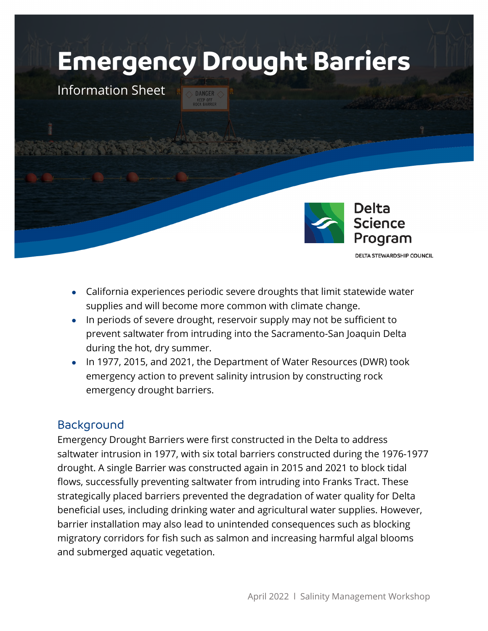# **Emergency Drought Barriers**

Information Sheet



**DELTA STEWARDSHIP COUNCIL** 

- California experiences periodic severe droughts that limit statewide water supplies and will become more common with climate change.
- In periods of severe drought, reservoir supply may not be sufficient to prevent saltwater from intruding into the Sacramento-San Joaquin Delta during the hot, dry summer.
- In 1977, 2015, and 2021, the Department of Water Resources (DWR) took emergency action to prevent salinity intrusion by constructing rock emergency drought barriers.

# Background

Emergency Drought Barriers were first constructed in the Delta to address saltwater intrusion in 1977, with six total barriers constructed during the 1976-1977 drought. A single Barrier was constructed again in 2015 and 2021 to block tidal flows, successfully preventing saltwater from intruding into Franks Tract. These strategically placed barriers prevented the degradation of water quality for Delta beneficial uses, including drinking water and agricultural water supplies. However, barrier installation may also lead to unintended consequences such as blocking migratory corridors for fish such as salmon and increasing harmful algal blooms and submerged aquatic vegetation.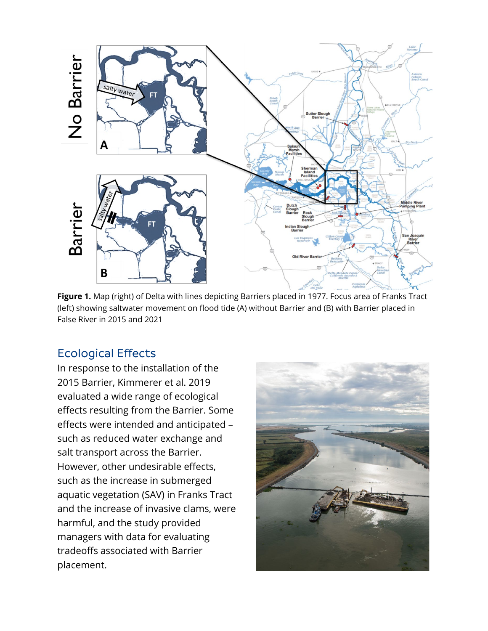

**Figure 1.** Map (right) of Delta with lines depicting Barriers placed in 1977. Focus area of Franks Tract (left) showing saltwater movement on flood tide (A) without Barrier and (B) with Barrier placed in False River in 2015 and 2021

# Ecological Effects

In response to the installation of the 2015 Barrier, Kimmerer et al. 2019 evaluated a wide range of ecological effects resulting from the Barrier. Some effects were intended and anticipated – such as reduced water exchange and salt transport across the Barrier. However, other undesirable effects, such as the increase in submerged aquatic vegetation (SAV) in Franks Tract and the increase of invasive clams, were harmful, and the study provided managers with data for evaluating tradeoffs associated with Barrier placement.

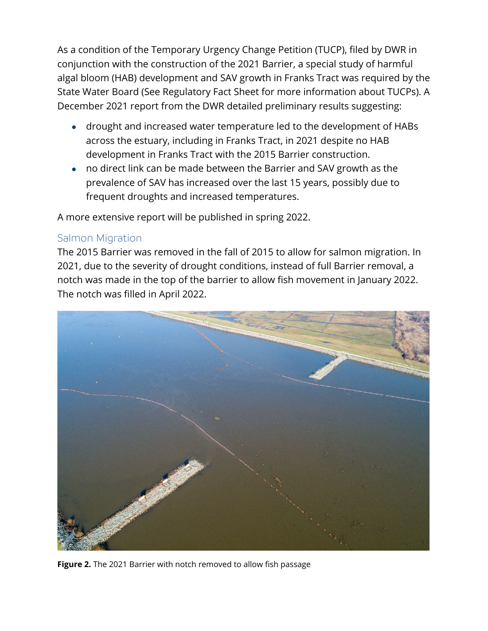As a condition of the Temporary Urgency Change Petition (TUCP), filed by DWR in conjunction with the construction of the 2021 Barrier, a special study of harmful algal bloom (HAB) development and SAV growth in Franks Tract was required by the State Water Board (See Regulatory Fact Sheet for more information about TUCPs). A December 2021 report from the DWR detailed preliminary results suggesting:

- drought and increased water temperature led to the development of HABs across the estuary, including in Franks Tract, in 2021 despite no HAB development in Franks Tract with the 2015 Barrier construction.
- no direct link can be made between the Barrier and SAV growth as the prevalence of SAV has increased over the last 15 years, possibly due to frequent droughts and increased temperatures.

A more extensive report will be published in spring 2022.

## Salmon Migration

The 2015 Barrier was removed in the fall of 2015 to allow for salmon migration. In 2021, due to the severity of drought conditions, instead of full Barrier removal, a notch was made in the top of the barrier to allow fish movement in January 2022. The notch was filled in April 2022.



**Figure 2.** The 2021 Barrier with notch removed to allow fish passage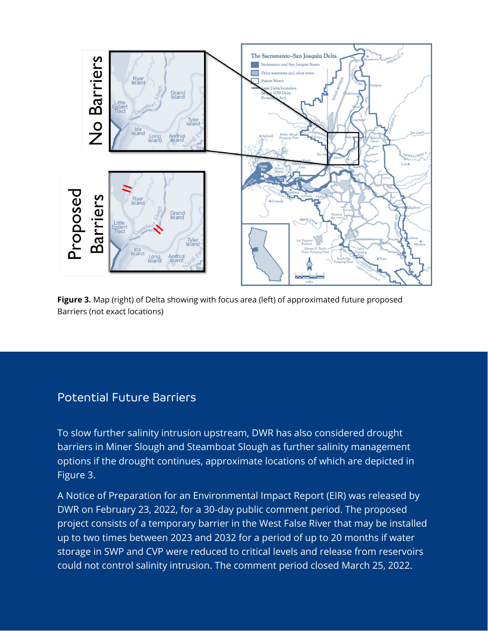

**Figure 3.** Map (right) of Delta showing with focus area (left) of approximated future proposed Barriers (not exact locations)

# Potential Future Barriers

To slow further salinity intrusion upstream, DWR has also considered drought barriers in Miner Slough and Steamboat Slough as further salinity management options if the drought continues, approximate locations of which are depicted in Figure 3.

A Notice of Preparation for an Environmental Impact Report (EIR) was released by DWR on February 23, 2022, for a 30-day public comment period. The proposed project consists of a temporary barrier in the West False River that may be installed up to two times between 2023 and 2032 for a period of up to 20 months if water storage in SWP and CVP were reduced to critical levels and release from reservoirs could not control salinity intrusion. The comment period closed March 25, 2022.